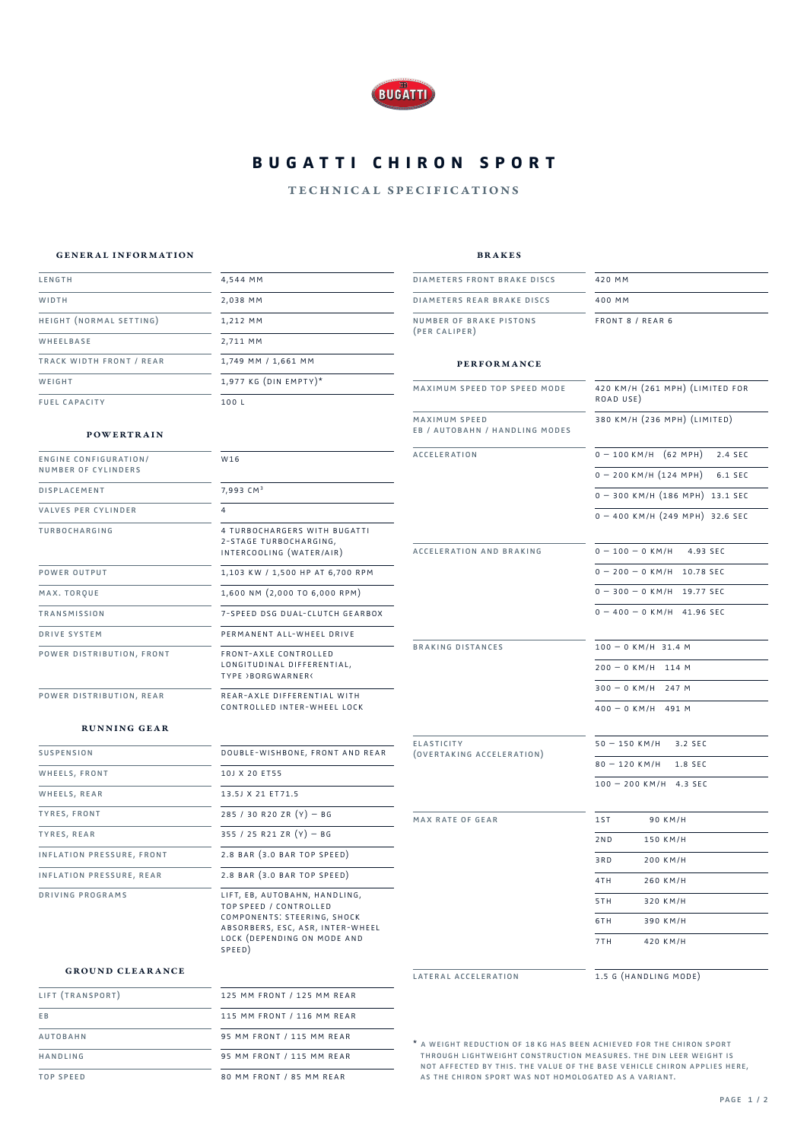

# **BUGATTI CHIRON SPORT**

### technical specifications

brakes

420 mm 400 mm

FRONT 8 / REAR 6

road use)

420 km/h (261 mph) (limited for

 $0 - 100$  KM/H  $(62$  MPH) 2.4 SEC  $0 - 200$  KM/H  $(124$  MPH $)$  6.1 SEC 0 – 300 km/h (186 mph) 13.1 sec  $0 - 400$  KM/H  $(249$  MPH $)$  32.6 SEC

380 km/h (236 mph) (limited)

 $0 - 100 - 0$  KM/H 4.93 SEC  $0 - 200 - 0$  KM/H 10.78 SEC  $0 - 300 - 0$  KM/H 19.77 SEC  $0 - 400 - 0$  KM/H 41.96 SEC

 $100 - 0$  KM/H 31.4 M  $200 - 0$  KM/H 114 M

#### general information

| LENGTH                       | 4,544 MM                | <b>DIAMETERS FRONT BRAKE DISCS</b>              |
|------------------------------|-------------------------|-------------------------------------------------|
| WIDTH                        | 2,038 MM                | DIAMETERS REAR BRAKE DISCS                      |
| HEIGHT (NORMAL SETTING)      | 1,212 MM                | NUMBER OF BRAKE PISTONS                         |
| WHEELBASE                    | 2,711 MM                | (PER CALIPER)                                   |
| TRACK WIDTH FRONT / REAR     | 1,749 MM / 1,661 MM     | <b>PERFORMANCE</b>                              |
| WEIGHT                       | $1,977$ KG (DIN EMPTY)* | MAXIMUM SPEED TOP SPEED MODE                    |
| <b>FUEL CAPACITY</b>         | 100L                    |                                                 |
| <b>POWERTRAIN</b>            |                         | MAXIMUM SPEED<br>EB / AUTOBAHN / HANDLING MODES |
| <b>ENGINE CONFIGURATION/</b> | W16                     | <b>ACCELERATION</b>                             |

| NUMBER OF CYLINDERS        |                                                                                              |
|----------------------------|----------------------------------------------------------------------------------------------|
| <b>DISPLACEMENT</b>        | 7,993 CM <sup>3</sup>                                                                        |
| <b>VALVES PER CYLINDER</b> | 4                                                                                            |
| <b>TURBOCHARGING</b>       | 4 TURBOCHARGERS WITH BUGATTI<br>2-STAGE TURBOCHARGING,<br>INTERCOOLING (WATER/AIR)           |
| <b>POWER OUTPUT</b>        | 1,103 KW / 1,500 HP AT 6,700 RPM                                                             |
| MAX. TORQUE                | 1,600 NM (2,000 TO 6,000 RPM)                                                                |
| <b>TRANSMISSION</b>        | 7-SPEED DSG DUAL-CLUTCH GEARBOX                                                              |
| <b>DRIVE SYSTEM</b>        | PERMANENT ALL-WHEEL DRIVE                                                                    |
| POWER DISTRIBUTION, FRONT  | <b>FRONT-AXLE CONTROLLED</b><br>LONGITUDINAL DIFFERENTIAL,<br><b>TYPE &gt;BORGWARNER&lt;</b> |
| POWER DISTRIBUTION, REAR   | REAR-AXLE DIFFERENTIAL WITH                                                                  |

J. braking distances controlled inter-wheel lock ELA  $(ov<sub>1</sub>)$ 

acceleration and braking

|                                                | $300 - 0$ KM/H 247 M       |
|------------------------------------------------|----------------------------|
|                                                | $400 - 0$ KM/H 491 M       |
| <b>ELASTICITY</b><br>(OVERTAKING ACCELERATION) | $50 - 150$ KM/H<br>3.2 SEC |
|                                                | 80 - 120 KM/H 1.8 SEC      |
|                                                | $100 - 200$ KM/H 4.3 SEC   |
| MAX RATE OF GEAR                               | 1ST<br>90 KM/H             |
|                                                | 2ND<br>150 KM/H            |
|                                                | 3RD<br>200 KM/H            |
|                                                | 4TH<br>260 KM/H            |
|                                                | 5TH<br>320 KM/H            |
|                                                | 6TH<br>390 KM/H            |
|                                                | 7TH<br>420 KM/H            |

lateral acceleration

1.5 g (handling mode)

\* a weight reduction of 18 kg has been achieved for the chiron sport through lightweight construction measures. the din leer weight is not affected by this. the value of the base vehicle chiron applies here, as the chiron sport was not homologated as a variant.

## running gear

| <b>SUSPENSION</b>         | DOUBLE-WISHBONE, FRONT AND REAR                                                               |
|---------------------------|-----------------------------------------------------------------------------------------------|
| WHEELS, FRONT             | 10J X 20 ET55                                                                                 |
| WHEELS, REAR              | 13.5J X 21 ET71.5                                                                             |
| <b>TYRES, FRONT</b>       | 285 / 30 R20 ZR $(Y)$ - BG                                                                    |
| <b>TYRES, REAR</b>        | 355 / 25 R21 ZR $(Y)$ - BG                                                                    |
| INFLATION PRESSURE, FRONT | 2.8 BAR (3.0 BAR TOP SPEED)                                                                   |
| INFLATION PRESSURE, REAR  | 2.8 BAR (3.0 BAR TOP SPEED)                                                                   |
| DRIVING PROGRAMS          | LIFT, EB, AUTOBAHN, HANDLING,<br><b>TOP SPEED / CONTROLLED</b><br>COMPONENTS: STEERING, SHOCK |

absorbers, esc, asr, inter-wheel lock (depending on mode and speed)

### ground clearance

| LIFT (TRANSPORT) | 125 MM FRONT / 125 MM REAR |
|------------------|----------------------------|
| EB               | 115 MM FRONT / 116 MM REAR |
| <b>AUTOBAHN</b>  | 95 MM FRONT / 115 MM REAR  |
| HANDLING         | 95 MM FRONT / 115 MM REAR  |
| <b>TOP SPEED</b> | 80 MM FRONT / 85 MM REAR   |